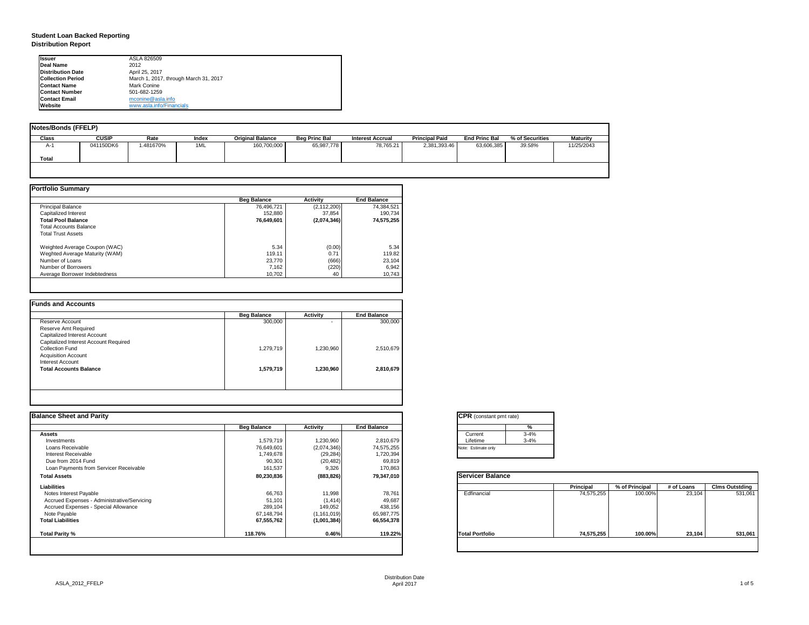| tant pmt rate) |          |
|----------------|----------|
|                | %        |
|                | $3 - 4%$ |
|                | $3 - 4%$ |
| only           |          |

|      | <b>Principal</b> | % of Principal | # of Loans | <b>Clms Outstding</b> |  |  |
|------|------------------|----------------|------------|-----------------------|--|--|
| al   | 74,575,255       | 100.00%        | 23,104     | 531,061               |  |  |
| olio | 74,575,255       | 100.00%        | 23,104     | 531,061               |  |  |

## **Student Loan Backed Reporting Distribution Report**

| <b>Notes/Bonds (FFELP)</b> |              |          |       |                         |                      |                         |                       |                      |                 |                 |
|----------------------------|--------------|----------|-------|-------------------------|----------------------|-------------------------|-----------------------|----------------------|-----------------|-----------------|
| <b>Class</b>               | <b>CUSIP</b> | Rate     | Index | <b>Original Balance</b> | <b>Beg Princ Bal</b> | <b>Interest Accrual</b> | <b>Principal Paid</b> | <b>End Princ Bal</b> | % of Securities | <b>Maturity</b> |
| A-1                        | 041150DK6    | .481670% | 1ML   | 160,700,000             | 65,987,778           | 78,765.21               | 2,381,393.46          | 63,606,385           | 39.58%          | 11/25/2043      |
| <b>Total</b>               |              |          |       |                         |                      |                         |                       |                      |                 |                 |
|                            |              |          |       |                         |                      |                         |                       |                      |                 |                 |

|                                | <b>Beg Balance</b> | <b>Activity</b> | <b>End Balance</b> |
|--------------------------------|--------------------|-----------------|--------------------|
| <b>Principal Balance</b>       | 76,496,721         | (2, 112, 200)   | 74,384,521         |
| Capitalized Interest           | 152,880            | 37,854          | 190,734            |
| <b>Total Pool Balance</b>      | 76,649,601         | (2,074,346)     | 74,575,255         |
| <b>Total Accounts Balance</b>  |                    |                 |                    |
| <b>Total Trust Assets</b>      |                    |                 |                    |
| Weighted Average Coupon (WAC)  | 5.34               | (0.00)          | 5.34               |
| Weghted Average Maturity (WAM) | 119.11             | 0.71            | 119.82             |
| Number of Loans                | 23,770             | (666)           | 23,104             |
| Number of Borrowers            | 7,162              | (220)           | 6,942              |
| Average Borrower Indebtedness  | 10,702             | 40              | 10,743             |

|                                       | <b>Beg Balance</b> | <b>Activity</b> | <b>End Balance</b> |
|---------------------------------------|--------------------|-----------------|--------------------|
| Reserve Account                       | 300,000            | ۰               | 300,000            |
| <b>Reserve Amt Required</b>           |                    |                 |                    |
| <b>Capitalized Interest Account</b>   |                    |                 |                    |
| Capitalized Interest Account Required |                    |                 |                    |
| <b>Collection Fund</b>                | 1,279,719          | 1,230,960       | 2,510,679          |
| <b>Acquisition Account</b>            |                    |                 |                    |
| <b>Interest Account</b>               |                    |                 |                    |
| <b>Total Accounts Balance</b>         | 1,579,719          | 1,230,960       | 2,810,679          |
|                                       |                    |                 |                    |

| <b>Ilssuer</b>           | ASLA 826509                           |
|--------------------------|---------------------------------------|
| <b>IDeal Name</b>        | 2012                                  |
| <b>Distribution Date</b> | April 25, 2017                        |
| <b>Collection Period</b> | March 1, 2017, through March 31, 2017 |
| <b>IContact Name</b>     | Mark Conine                           |
| <b>IContact Number</b>   | 501-682-1259                          |
| <b>Contact Email</b>     | mconine@asla.info                     |
| <b>IWebsite</b>          | www.asla.info/Financials              |

|                    |                 |                    | <b>CPR</b> (constant pmt rate) |                  |                |            |                       |
|--------------------|-----------------|--------------------|--------------------------------|------------------|----------------|------------|-----------------------|
| <b>Beg Balance</b> | <b>Activity</b> | <b>End Balance</b> | %                              |                  |                |            |                       |
|                    |                 |                    | $3 - 4%$<br>Current            |                  |                |            |                       |
| 1,579,719          | 1,230,960       | 2,810,679          | $3 - 4%$<br>Lifetime           |                  |                |            |                       |
| 76,649,601         | (2,074,346)     | 74,575,255         | Note: Estimate only            |                  |                |            |                       |
| 1,749,678          | (29, 284)       | 1,720,394          |                                |                  |                |            |                       |
| 90,301             | (20, 482)       | 69,819             |                                |                  |                |            |                       |
| 161,537            | 9,326           | 170,863            |                                |                  |                |            |                       |
| 80,230,836         | (883, 826)      | 79,347,010         | <b>Servicer Balance</b>        |                  |                |            |                       |
|                    |                 |                    |                                | <b>Principal</b> | % of Principal | # of Loans | <b>Clms Outstding</b> |
| 66,763             | 11,998          | 78,761             | Edfinancial                    | 74,575,255       | 100.00%        | 23,104     | 531,061               |
| 51,101             | (1, 414)        | 49,687             |                                |                  |                |            |                       |
| 289,104            | 149,052         | 438,156            |                                |                  |                |            |                       |
| 67,148,794         | (1, 161, 019)   | 65,987,775         |                                |                  |                |            |                       |
| 67,555,762         | (1,001,384)     | 66,554,378         |                                |                  |                |            |                       |
| 118.76%            | 0.46%           | 119.22%            | <b>Total Portfolio</b>         | 74,575,255       | 100.00%        | 23,104     | 531,061               |
|                    |                 |                    |                                |                  |                |            |                       |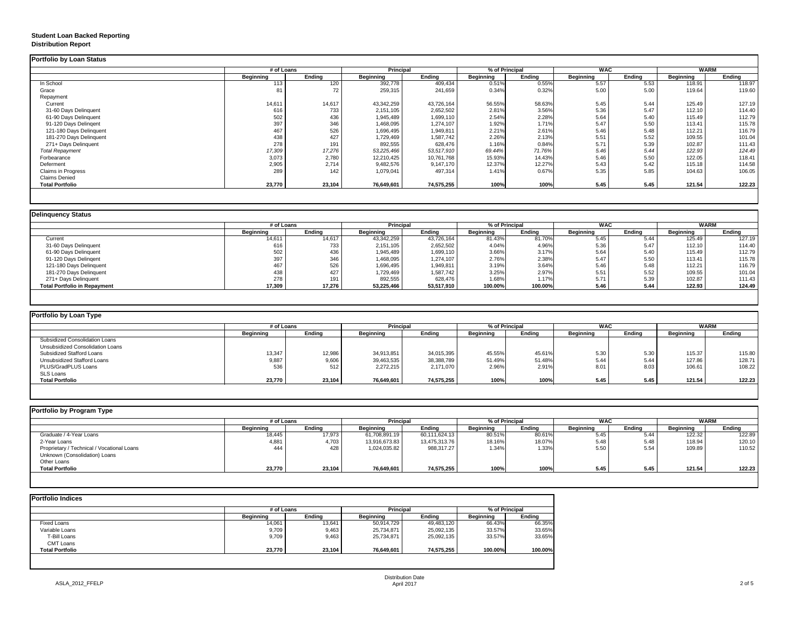# **Student Loan Backed Reporting Distribution Report**

## **Delinquency Status**

|                           | # of Loans       |                 | <b>Principal</b> |               | % of Principal   |               | <b>WAC</b>       |               | <b>WARM</b>      |               |
|---------------------------|------------------|-----------------|------------------|---------------|------------------|---------------|------------------|---------------|------------------|---------------|
|                           | <b>Beginning</b> | <b>Ending</b>   | <b>Beginning</b> | <b>Ending</b> | <b>Beginning</b> | <b>Ending</b> | <b>Beginning</b> | <b>Ending</b> | <b>Beginning</b> | <b>Ending</b> |
| In School                 | 113              | 120             | 392,778          | 409,434       | 0.51%            | 0.55%         | 5.57             | 5.53          | 118.91           | 118.97        |
| Grace                     | 81               | 72 <sub>1</sub> | 259,315          | 241,659       | 0.34%            | 0.32%         | 5.00             | 5.00          | 119.64           | 119.60        |
| Repayment                 |                  |                 |                  |               |                  |               |                  |               |                  |               |
| Current                   | 14,611           | 14,617          | 43,342,259       | 43,726,164    | 56.55%           | 58.63%        | 5.45             | 5.44          | 125.49           | 127.19        |
| 31-60 Days Delinquent     | 616              | 733             | 2,151,105        | 2,652,502     | 2.81%            | 3.56%         | 5.36             | 5.47          | 112.10           | 114.40        |
| 61-90 Days Delinquent     | 502              | 436             | 1,945,489        | 1,699,110     | 2.54%            | 2.28%         | 5.64             | 5.40          | 115.49           | 112.79        |
| 91-120 Days Delingent     | 397              | 346             | 1,468,095        | 1,274,107     | 1.92%            | 1.71%         | 5.47             | 5.50          | 113.41           | 115.78        |
| 121-180 Days Delinquent   | 467              | 526             | 1,696,495        | 1,949,811     | 2.21%            | 2.61%         | 5.46             | 5.48          | 112.21           | 116.79        |
| 181-270 Days Delinquent   | 438              | 427             | 1,729,469        | 1,587,742     | 2.26%            | 2.13%         | 5.51             | 5.52          | 109.55           | 101.04        |
| 271+ Days Delinquent      | 278              | 191             | 892,555          | 628,476       | 1.16%            | 0.84%         | 5.71             | 5.39          | 102.87           | 111.43        |
| <b>Total Repayment</b>    | 17,309           | 17,276          | 53,225,466       | 53,517,910    | 69.44%           | 71.76%        | 5.46             | 5.44          | 122.93           | 124.49        |
| Forbearance               | 3,073            | 2,780           | 12,210,425       | 10,761,768    | 15.93%           | 14.43%        | 5.46             | 5.50          | 122.05           | 118.41        |
| Deferment                 | 2,905            | 2,714           | 9,482,576        | 9,147,170     | 12.37%           | 12.27%        | 5.43             | 5.42          | 115.18           | 114.58        |
| <b>Claims in Progress</b> | 289              | 142             | 1,079,041        | 497,314       | 1.41%            | 0.67%         | 5.35             | 5.85          | 104.63           | 106.05        |
| <b>Claims Denied</b>      |                  |                 |                  |               |                  |               |                  |               |                  |               |
| <b>Total Portfolio</b>    | 23,770           | 23,104          | 76,649,601       | 74,575,255    | 100%             | 100%          | 5.45             | 5.45          | 121.54           | 122.23        |

|                                     | # of Loans       |               | <b>Principal</b> |               | % of Principal   |               | <b>WAC</b>       |               | <b>WARM</b>      |               |
|-------------------------------------|------------------|---------------|------------------|---------------|------------------|---------------|------------------|---------------|------------------|---------------|
|                                     | <b>Beginning</b> | <b>Ending</b> | <b>Beginning</b> | <b>Ending</b> | <b>Beginning</b> | <b>Ending</b> | <b>Beginning</b> | <b>Ending</b> | <b>Beginning</b> | <b>Ending</b> |
| Current                             | 14,611           | 14,617        | 43,342,259       | 43,726,164    | 81.43%           | 81.70%        | 5.45             | 5.44          | 125.49           | 127.19        |
| 31-60 Days Delinquent               | 616              | 733           | 2,151,105        | 2,652,502     | 4.04%            | 4.96%         | 5.36             | 5.47          | 112.10           | 114.40        |
| 61-90 Days Delinquent               | 502              | 436           | 1,945,489        | 1,699,110     | 3.66%            | 3.17%         | 5.64             | 5.40          | 115.49           | 112.79        |
| 91-120 Days Delinqent               | 397              | 346           | 1,468,095        | 1,274,107     | 2.76%            | 2.38%         | 5.47             | 5.50          | 113.41           | 115.78        |
| 121-180 Days Delinquent             | 467              | 526           | 1,696,495        | 1,949,811     | 3.19%            | 3.64%         | 5.46             | 5.48          | 112.21           | 116.79        |
| 181-270 Days Delinquent             | 438              | 427           | 1,729,469        | 1,587,742     | 3.25%            | 2.97%         | 5.51             | 5.52          | 109.55           | 101.04        |
| 271+ Days Delinquent                | 278              | 191           | 892,555          | 628,476       | 1.68%            | 1.17%         | 5.71             | 5.39          | 102.87           | 111.43        |
| <b>Total Portfolio in Repayment</b> | 17,309           | 17,276        | 53,225,466       | 53,517,910    | 100.00%          | 100.00%       | 5.46             | 5.44          | 122.93           | 124.49        |

| Portfolio by Loan Type                |                  |               |                  |               |                  |               |                  |                  |                  |               |
|---------------------------------------|------------------|---------------|------------------|---------------|------------------|---------------|------------------|------------------|------------------|---------------|
|                                       | # of Loans       |               | <b>Principal</b> |               | % of Principal   |               | <b>WAC</b>       |                  | <b>WARM</b>      |               |
|                                       | <b>Beginning</b> | <b>Ending</b> | <b>Beginning</b> | <b>Ending</b> | <b>Beginning</b> | <b>Ending</b> | <b>Beginning</b> | <b>Ending</b>    | <b>Beginning</b> | <b>Ending</b> |
| <b>Subsidized Consolidation Loans</b> |                  |               |                  |               |                  |               |                  |                  |                  |               |
| Unsubsidized Consolidation Loans      |                  |               |                  |               |                  |               |                  |                  |                  |               |
| <b>Subsidized Stafford Loans</b>      | 13,347           | 12,986        | 34,913,851       | 34,015,395    | 45.55%           | 45.61%        | 5.30             | 5.3 <sub>0</sub> | 115.37           | 115.80        |
| <b>Unsubsidized Stafford Loans</b>    | 9,887            | 9,606         | 39,463,535       | 38,388,789    | 51.49%           | 51.48%        | 5.44             | 5.44             | 127.86           | 128.71        |
| PLUS/GradPLUS Loans                   | 536              | 512           | 2,272,215        | 2,171,070     | 2.96%            | 2.91%         | 8.01             | 8.03             | 106.61           | 108.22        |
| <b>SLS Loans</b>                      |                  |               |                  |               |                  |               |                  |                  |                  |               |
| <b>Total Portfolio</b>                | 23,770           | 23,104        | 76,649,601       | 74,575,255    | 100%             | 100%          | 5.45             | 5.45             | 121.54           | 122.23        |

| Portfolio by Program Type                  |                  |               |                  |               |                  |               |                  |               |                  |               |
|--------------------------------------------|------------------|---------------|------------------|---------------|------------------|---------------|------------------|---------------|------------------|---------------|
|                                            | # of Loans       |               | <b>Principal</b> |               | % of Principal   |               | <b>WAC</b>       |               | <b>WARM</b>      |               |
|                                            | <b>Beginning</b> | <b>Ending</b> | <b>Beginning</b> | <b>Ending</b> | <b>Beginning</b> | <b>Ending</b> | <b>Beginning</b> | <b>Ending</b> | <b>Beginning</b> | <b>Ending</b> |
| Graduate / 4-Year Loans                    | 18,445           | 17,973        | 61,708,891.19    | 60,111,624.13 | 80.51%           | 80.61%        | 5.45             | 5.44          | 122.32           | 122.89        |
| 2-Year Loans                               | 4,881            | 4,703         | 13,916,673.83    | 13,475,313.76 | 18.16%           | 18.07%        | 5.48             | 5.48          | 118.94           | 120.10        |
| Proprietary / Technical / Vocational Loans | 444              | 428           | 1,024,035.82     | 988,317.27    | 1.34%            | 1.33%         | 5.50             | 5.54          | 109.89           | 110.52        |
| Unknown (Consolidation) Loans              |                  |               |                  |               |                  |               |                  |               |                  |               |
| <b>Other Loans</b>                         |                  |               |                  |               |                  |               |                  |               |                  |               |
| <b>Total Portfolio</b>                     | 23,770           | 23,104        | 76,649,601       | 74,575,255    | 100%             | 100%          | 5.45             | 5.45          | 121.54           | 122.23        |
|                                            |                  |               |                  |               |                  |               |                  |               |                  |               |

|                        |                  | # of Loans    |                  |               | % of Principal   |               |  |
|------------------------|------------------|---------------|------------------|---------------|------------------|---------------|--|
|                        | <b>Beginning</b> | <b>Ending</b> | <b>Beginning</b> | <b>Ending</b> | <b>Beginning</b> | <b>Ending</b> |  |
| <b>Fixed Loans</b>     | 14,061           | 13,641        | 50,914,729       | 49,483,120    | 66.43%           | 66.35%        |  |
| Variable Loans         | 9,709            | 9,463         | 25,734,871       | 25,092,135    | 33.57%           | 33.65%        |  |
| T-Bill Loans           | 9,709            | 9,463         | 25,734,871       | 25,092,135    | 33.57%           | 33.65%        |  |
| <b>CMT Loans</b>       |                  |               |                  |               |                  |               |  |
| <b>Total Portfolio</b> | 23,770           | 23,104        | 76,649,601       | 74,575,255    | 100.00%          | 100.00%       |  |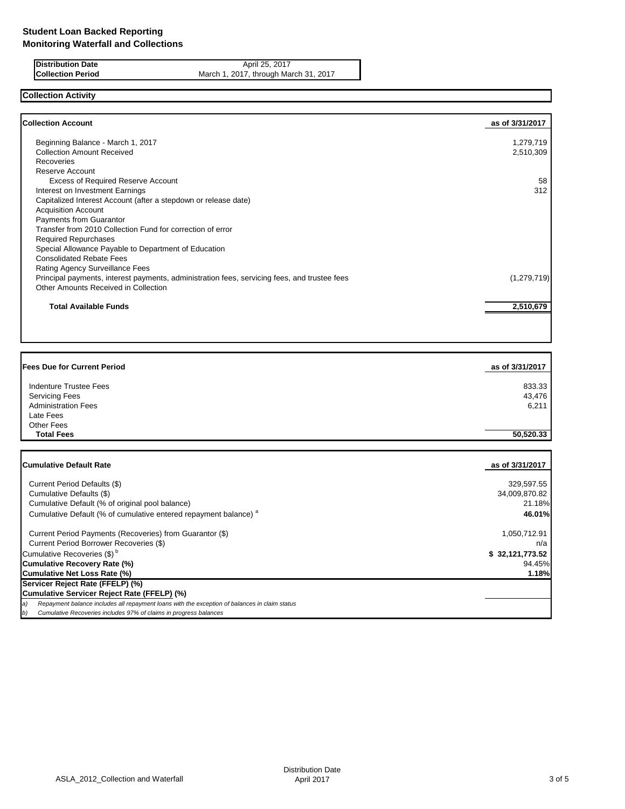| <b>Distribution Date</b> |                          |
|--------------------------|--------------------------|
|                          | <b>Collection Period</b> |

**Distribution Date** April 25, 2017 **Collection Period** March 1, 2017, through March 31, 2017

# **Collection Activity**

| <b>Collection Account</b>                                                                    | as of 3/31/2017 |
|----------------------------------------------------------------------------------------------|-----------------|
| Beginning Balance - March 1, 2017                                                            | 1,279,719       |
| <b>Collection Amount Received</b>                                                            | 2,510,309       |
| <b>Recoveries</b>                                                                            |                 |
| Reserve Account                                                                              |                 |
| <b>Excess of Required Reserve Account</b>                                                    | 58              |
| Interest on Investment Earnings                                                              | 312             |
| Capitalized Interest Account (after a stepdown or release date)                              |                 |
| <b>Acquisition Account</b>                                                                   |                 |
| Payments from Guarantor                                                                      |                 |
| Transfer from 2010 Collection Fund for correction of error                                   |                 |
| <b>Required Repurchases</b>                                                                  |                 |
| Special Allowance Payable to Department of Education                                         |                 |
| <b>Consolidated Rebate Fees</b>                                                              |                 |
| Rating Agency Surveillance Fees                                                              |                 |
| Principal payments, interest payments, administration fees, servicing fees, and trustee fees | (1, 279, 719)   |
| Other Amounts Received in Collection                                                         |                 |
| <b>Total Available Funds</b>                                                                 | 2,510,679       |

| <b>Fees Due for Current Period</b>                                          | as of 3/31/2017 |
|-----------------------------------------------------------------------------|-----------------|
|                                                                             |                 |
| <b>Indenture Trustee Fees</b>                                               | 833.33          |
| <b>Servicing Fees</b>                                                       | 43,476          |
| <b>Administration Fees</b>                                                  | 6,211           |
| Late Fees                                                                   |                 |
| <b>Other Fees</b>                                                           |                 |
| <b>Total Fees</b>                                                           | 50,520.33       |
|                                                                             |                 |
| <b>Cumulative Default Rate</b>                                              |                 |
|                                                                             |                 |
|                                                                             | as of 3/31/2017 |
|                                                                             |                 |
| Current Period Defaults (\$)                                                | 329,597.55      |
| Cumulative Defaults (\$)                                                    | 34,009,870.82   |
| Cumulative Default (% of original pool balance)                             | 21.18%          |
| Cumulative Default (% of cumulative entered repayment balance) <sup>a</sup> | 46.01%          |
| Current Period Payments (Recoveries) from Guarantor (\$)                    | 1,050,712.91    |

|    | Cumulative Recoveries (\$) <sup>b</sup>                                                       | \$32,121,773.52 |
|----|-----------------------------------------------------------------------------------------------|-----------------|
|    | <b>Cumulative Recovery Rate (%)</b>                                                           | 94.45%          |
|    | <b>Cumulative Net Loss Rate (%)</b>                                                           | 1.18%           |
|    | Servicer Reject Rate (FFELP) (%)                                                              |                 |
|    | Cumulative Servicer Reject Rate (FFELP) (%)                                                   |                 |
| a) | Repayment balance includes all repayment loans with the exception of balances in claim status |                 |
| b) | Cumulative Recoveries includes 97% of claims in progress balances                             |                 |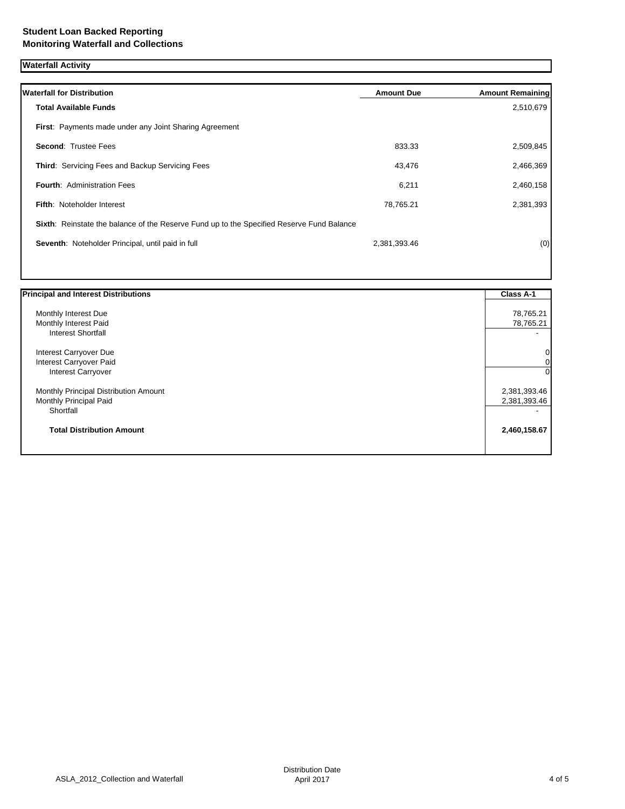| <b>Waterfall Activity</b> |  |
|---------------------------|--|
|---------------------------|--|

| <b>Waterfall for Distribution</b>                                                         | <b>Amount Due</b> | <b>Amount Remaining</b> |
|-------------------------------------------------------------------------------------------|-------------------|-------------------------|
| <b>Total Available Funds</b>                                                              |                   | 2,510,679               |
| First: Payments made under any Joint Sharing Agreement                                    |                   |                         |
| <b>Second: Trustee Fees</b>                                                               | 833.33            | 2,509,845               |
| <b>Third: Servicing Fees and Backup Servicing Fees</b>                                    | 43,476            | 2,466,369               |
| <b>Fourth: Administration Fees</b>                                                        | 6,211             | 2,460,158               |
| <b>Fifth: Noteholder Interest</b>                                                         | 78,765.21         | 2,381,393               |
| Sixth: Reinstate the balance of the Reserve Fund up to the Specified Reserve Fund Balance |                   |                         |
| Seventh: Noteholder Principal, until paid in full                                         | 2,381,393.46      | (0)                     |

| <b>Principal and Interest Distributions</b> | <b>Class A-1</b> |
|---------------------------------------------|------------------|
| Monthly Interest Due                        | 78,765.21        |
| Monthly Interest Paid                       | 78,765.21        |
| <b>Interest Shortfall</b>                   |                  |
| Interest Carryover Due                      |                  |
| Interest Carryover Paid                     |                  |
| Interest Carryover                          | 0I               |
| Monthly Principal Distribution Amount       | 2,381,393.46     |
| Monthly Principal Paid                      | 2,381,393.46     |
| Shortfall                                   |                  |
| <b>Total Distribution Amount</b>            | 2,460,158.67     |
|                                             |                  |